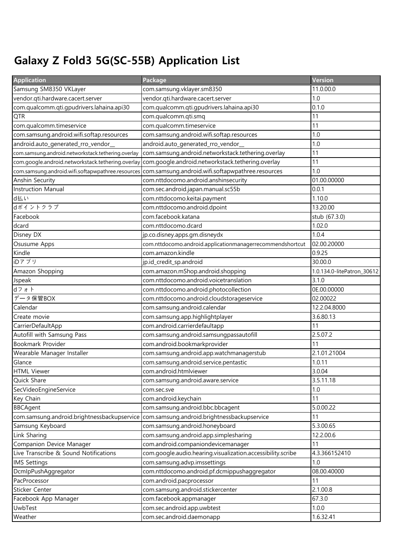## Galaxy Z Fold3 5G(SC-55B) Application List

| <b>Application</b>                                 | Package                                                     | Version                    |
|----------------------------------------------------|-------------------------------------------------------------|----------------------------|
| Samsung SM8350 VKLayer                             | com.samsung.vklayer.sm8350                                  | 11.0.00.0                  |
| vendor.qti.hardware.cacert.server                  | vendor.qti.hardware.cacert.server                           | 1.0                        |
| com.qualcomm.qti.gpudrivers.lahaina.api30          | com.qualcomm.qti.gpudrivers.lahaina.api30                   | 0.1.0                      |
| <b>QTR</b>                                         | com.qualcomm.qti.smq                                        | 11                         |
| com.qualcomm.timeservice                           | com.qualcomm.timeservice                                    | 11                         |
| com.samsung.android.wifi.softap.resources          | com.samsung.android.wifi.softap.resources                   | 1.0                        |
| android.auto_generated_rro_vendor_                 | android.auto_generated_rro_vendor_                          | 1.0                        |
| com.samsung.android.networkstack.tethering.overlay | com.samsung.android.networkstack.tethering.overlay          | 11                         |
| com.google.android.networkstack.tethering.overlay  | com.google.android.networkstack.tethering.overlay           | 11                         |
| com.samsung.android.wifi.softapwpathree.resources  | com.samsung.android.wifi.softapwpathree.resources           | 1.0                        |
| Anshin Security                                    | com.nttdocomo.android.anshinsecurity                        | 01.00.00000                |
| Instruction Manual                                 | com.sec.android.japan.manual.sc55b                          | 0.0.1                      |
| d払い                                                | com.nttdocomo.keitai.payment                                | 1.10.0                     |
| dポイントクラブ                                           | com.nttdocomo.android.dpoint                                | 13.20.00                   |
| Facebook                                           | com.facebook.katana                                         | stub (67.3.0)              |
| dcard                                              | com.nttdocomo.dcard                                         | 1.02.0                     |
| Disney DX                                          | jp.co.disney.apps.gm.disneydx                               | 1.0.4                      |
| Osusume Apps                                       | com.nttdocomo.android.applicationmanagerrecommendshortcut   | 02.00.20000                |
| Kindle                                             | com.amazon.kindle                                           | 0.9.25                     |
| iDアプリ                                              | jp.id_credit_sp.android                                     | 30.00.0                    |
| Amazon Shopping                                    | com.amazon.mShop.android.shopping                           | 1.0.134.0-litePatron_30612 |
| Jspeak                                             | com.nttdocomo.android.voicetranslation                      | 3.1.0                      |
| dフォト                                               | com.nttdocomo.android.photocollection                       | 0E.00.00000                |
| データ保管BOX                                           | com.nttdocomo.android.cloudstorageservice                   | 02.00022                   |
| Calendar                                           | com.samsung.android.calendar                                | 12.2.04.8000               |
| Create movie                                       | com.samsung.app.highlightplayer                             | 3.6.80.13                  |
| CarrierDefaultApp                                  | <del>co</del> m.android.carrierdefaultapp                   | 11                         |
| Autofill with Samsung Pass                         | com.samsung.android.samsungpassautofill                     | 2.5.07.2                   |
| Bookmark Provider                                  | com.android.bookmarkprovider                                | 11                         |
| Wearable Manager Installer                         | com.samsung.android.app.watchmanagerstub                    | 2.1.01.21004               |
| Glance                                             | com.samsung.android.service.pentastic                       | 1.0.11                     |
| <b>HTML Viewer</b>                                 | com.android.htmlviewer                                      | 3.0.04                     |
| Quick Share                                        | com.samsung.android.aware.service                           | 3.5.11.18                  |
| SecVideoEngineService                              | com.sec.sve                                                 | 1.0                        |
| Key Chain                                          | com.android.keychain                                        | 11                         |
| <b>BBCAgent</b>                                    | com.samsung.android.bbc.bbcagent                            | 5.0.00.22                  |
| com.samsung.android.brightnessbackupservice        | com.samsung.android.brightnessbackupservice                 | 11                         |
| Samsung Keyboard                                   | com.samsung.android.honeyboard                              | 5.3.00.65                  |
| Link Sharing                                       | com.samsung.android.app.simplesharing                       | 12.2.00.6                  |
| Companion Device Manager                           | com.android.companiondevicemanager                          | 11                         |
| Live Transcribe & Sound Notifications              | com.google.audio.hearing.visualization.accessibility.scribe | 4.3.366152410              |
| <b>IMS Settings</b>                                | com.samsung.advp.imssettings                                | 1.0                        |
| DcmlpPushAggregator                                | com.nttdocomo.android.pf.dcmippushaggregator                | 08.00.40000                |
| PacProcessor                                       | com.android.pacprocessor                                    | 11                         |
| Sticker Center                                     | com.samsung.android.stickercenter                           | 2.1.00.8                   |
| Facebook App Manager                               | com.facebook.appmanager                                     | 67.3.0                     |
| UwbTest                                            | com.sec.android.app.uwbtest                                 | 1.0.0                      |
| Weather                                            | com.sec.android.daemonapp                                   | 1.6.32.41                  |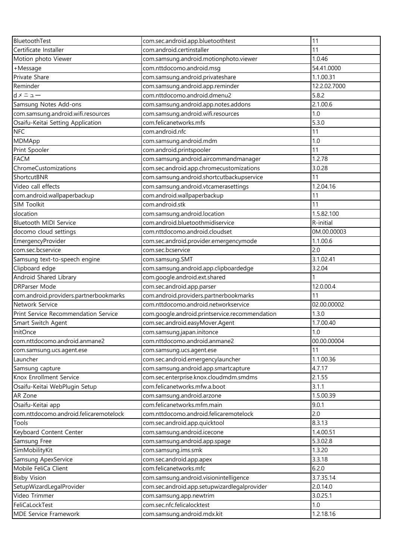| BluetoothTest                          | com.sec.android.app.bluetoothtest              | 11           |
|----------------------------------------|------------------------------------------------|--------------|
| Certificate Installer                  | com.android.certinstaller                      | 11           |
| Motion photo Viewer                    | com.samsung.android.motionphoto.viewer         | 1.0.46       |
| +Message                               | com.nttdocomo.android.msg                      | 54.41.0000   |
| Private Share                          | com.samsung.android.privateshare               | 1.1.00.31    |
| Reminder                               | com.samsung.android.app.reminder               | 12.2.02.7000 |
| $d \times = \pm -$                     | com.nttdocomo.android.dmenu2                   | 5.8.2        |
| Samsung Notes Add-ons                  | com.samsung.android.app.notes.addons           | 2.1.00.6     |
| com.samsung.android.wifi.resources     | com.samsung.android.wifi.resources             | 1.0          |
| Osaifu-Keitai Setting Application      | com.felicanetworks.mfs                         | 5.3.0        |
| <b>NFC</b>                             | com.android.nfc                                | 11           |
| MDMApp                                 | com.samsung.android.mdm                        | 1.0          |
| Print Spooler                          | com.android.printspooler                       | 11           |
| <b>FACM</b>                            | com.samsung.android.aircommandmanager          | 1.2.78       |
| ChromeCustomizations                   | com.sec.android.app.chromecustomizations       | 3.0.28       |
| ShortcutBNR                            | com.samsung.android.shortcutbackupservice      | 11           |
| Video call effects                     | com.samsung.android.vtcamerasettings           | 1.2.04.16    |
| com.android.wallpaperbackup            | com.android.wallpaperbackup                    | 11           |
| <b>SIM Toolkit</b>                     | com.android.stk                                | 11           |
| slocation                              | com.samsung.android.location                   | 1.5.82.100   |
| Bluetooth MIDI Service                 | com.android.bluetoothmidiservice               | R-initial    |
| docomo cloud settings                  | com.nttdocomo.android.cloudset                 | 0M.00.00003  |
| EmergencyProvider                      | com.sec.android.provider.emergencymode         | 1.1.00.6     |
| com.sec.bcservice                      | com.sec.bcservice                              | 2.0          |
| Samsung text-to-speech engine          | com.samsung.SMT                                | 3.1.02.41    |
| Clipboard edge                         | com.samsung.android.app.clipboardedge          | 3.2.04       |
| Android Shared Library                 | com.google.android.ext.shared                  |              |
| <b>DRParser Mode</b>                   | com.sec.android.app.parser                     | 12.0.00.4    |
| com.android.providers.partnerbookmarks | com.android.providers.partnerbookmarks         | 11           |
| Network Service                        | com.nttdocomo.android.networkservice           | 02.00.00002  |
| Print Service Recommendation Service   | com.google.android.printservice.recommendation | 1.3.0        |
| Smart Switch Agent                     | com.sec.android.easyMover.Agent                | 1.7.00.40    |
| InitOnce                               | com.samsung.japan.initonce                     | 1.0          |
| com.nttdocomo.android.anmane2          | com.nttdocomo.android.anmane2                  | 00.00.00004  |
| com.samsung.ucs.agent.ese              | com.samsung.ucs.agent.ese                      | 11           |
| Launcher                               | com.sec.android.emergencylauncher              | 1.1.00.36    |
| Samsung capture                        | com.samsung.android.app.smartcapture           | 4.7.17       |
| Knox Enrollment Service                | com.sec.enterprise.knox.cloudmdm.smdms         | 2.1.55       |
| Osaifu-Keitai WebPlugin Setup          | com.felicanetworks.mfw.a.boot                  | 3.1.1        |
| AR Zone                                | com.samsung.android.arzone                     | 1.5.00.39    |
| Osaifu-Keitai app                      | com.felicanetworks.mfm.main                    | 9.0.1        |
| com.nttdocomo.android.felicaremotelock | com.nttdocomo.android.felicaremotelock         | 2.0          |
| Tools                                  | com.sec.android.app.quicktool                  | 8.3.13       |
| Keyboard Content Center                | com.samsung.android.icecone                    | 1.4.00.51    |
| Samsung Free                           | com.samsung.android.app.spage                  | 5.3.02.8     |
| SimMobilityKit                         | com.samsung.ims.smk                            | 1.3.20       |
| Samsung ApexService                    | com.sec.android.app.apex                       | 3.3.18       |
| Mobile FeliCa Client                   | com.felicanetworks.mfc                         | 6.2.0        |
| <b>Bixby Vision</b>                    | com.samsung.android.visionintelligence         | 3.7.35.14    |
| SetupWizardLegalProvider               | com.sec.android.app.setupwizardlegalprovider   | 2.0.14.0     |
| Video Trimmer                          | com.samsung.app.newtrim                        | 3.0.25.1     |
| FeliCaLockTest                         | com.sec.nfc.felicalocktest                     | 1.0          |
| MDE Service Framework                  | com.samsung.android.mdx.kit                    | 1.2.18.16    |
|                                        |                                                |              |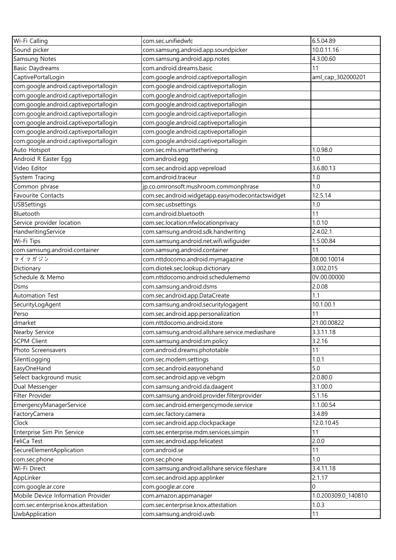| Wi-Fi Calling                         | com.sec.unifiedwfc                               | 6.5.04.89           |
|---------------------------------------|--------------------------------------------------|---------------------|
| Sound picker                          | com.samsung.android.app.soundpicker              | 10.0.11.16          |
| Samsung Notes                         | com.samsung.android.app.notes                    | 4.3.00.60           |
| <b>Basic Daydreams</b>                | com.android.dreams.basic                         | 11                  |
| CaptivePortalLogin                    | com.google.android.captiveportallogin            | aml_cap_302000201   |
| com.google.android.captiveportallogin | com.google.android.captiveportallogin            |                     |
| com.google.android.captiveportallogin | com.google.android.captiveportallogin            |                     |
| com.google.android.captiveportallogin | com.google.android.captiveportallogin            |                     |
| com.google.android.captiveportallogin | com.google.android.captiveportallogin            |                     |
| com.google.android.captiveportallogin | com.google.android.captiveportallogin            |                     |
| com.google.android.captiveportallogin | com.google.android.captiveportallogin            |                     |
| com.google.android.captiveportallogin | com.google.android.captiveportallogin            |                     |
| Auto Hotspot                          | com.sec.mhs.smarttethering                       | 1.0.98.0            |
| Android R Easter Egg                  | com.android.egg                                  | 1.0                 |
| Video Editor                          | com.sec.android.app.vepreload                    | 3.6.80.13           |
| System Tracing                        | com.android.traceur                              | 1.0                 |
| Common phrase                         | jp.co.omronsoft.mushroom.commonphrase            | 1.0                 |
| Favourite Contacts                    | com.sec.android.widgetapp.easymodecontactswidget | 12.5.14             |
| <b>USBSettings</b>                    | com.sec.usbsettings                              | 1.0                 |
| Bluetooth                             | com.android.bluetooth                            | 11                  |
| Service provider location             | com.sec.location.nfwlocationprivacy              | 1.0.10              |
| HandwritingService                    | com.samsung.android.sdk.handwriting              | 2.4.02.1            |
| Wi-Fi Tips                            | com.samsung.android.net.wifi.wifiguider          | 1.5.00.84           |
| com.samsung.android.container         | com.samsung.android.container                    | 11                  |
| マイマガジン                                | com.nttdocomo.android.mymagazine                 | 08.00.10014         |
| Dictionary                            | com.diotek.sec.lookup.dictionary                 | 3.002.015           |
| Schedule & Memo                       | com.nttdocomo.android.schedulememo               | 0V.00.00000         |
| <b>Dsms</b>                           | com.samsung.android.dsms                         | 2.0.08              |
| Automation Test                       | com.sec.android.app.DataCreate                   | 1.1                 |
| SecurityLogAgent                      | com.samsung.android.securitylogagent             | 10.1.00.1           |
| Perso                                 | com.sec.android.app.personalization              | 11                  |
| dmarket                               | com.nttdocomo.android.store                      | 21.00.00822         |
| <b>Nearby Service</b>                 | com.samsung.android.allshare.service.mediashare  | 3.3.11.18           |
| <b>SCPM Client</b>                    | com.samsung.android.sm.policy                    | 3.2.16              |
| Photo Screensavers                    | com.android.dreams.phototable                    | 11                  |
| SilentLogging                         | com.sec.modem.settings                           | 1.0.1               |
| EasyOneHand                           | com.sec.android.easyonehand                      | 5.0                 |
| Select background music               | com.sec.android.app.ve.vebgm                     | 2.0.80.0            |
| Dual Messenger                        | com.samsung.android.da.daagent                   | 3.1.00.0            |
| Filter Provider                       | com.samsung.android.provider.filterprovider      | 5.1.16              |
| EmergencyManagerService               | com.sec.android.emergencymode.service            | 1.1.00.54           |
| FactoryCamera                         | com.sec.factory.camera                           | 3.4.89              |
| Clock                                 | com.sec.android.app.clockpackage                 | 12.0.10.45          |
|                                       |                                                  |                     |
| Enterprise Sim Pin Service            | com.sec.enterprise.mdm.services.simpin           | 11                  |
| FeliCa Test                           | com.sec.android.app.felicatest                   | 2.0.0               |
| SecureElementApplication              | com.android.se                                   | 11                  |
| com.sec.phone                         | com.sec.phone                                    | 1.0                 |
| Wi-Fi Direct                          | com.samsung.android.allshare.service.fileshare   | 3.4.11.18           |
| AppLinker                             | com.sec.android.app.applinker                    | 2.1.17              |
| com.google.ar.core                    | com.google.ar.core                               | 0                   |
| Mobile Device Information Provider    | com.amazon.appmanager                            | 1.0.200309.0_140810 |
| com.sec.enterprise.knox.attestation   | com.sec.enterprise.knox.attestation              | 1.0.3               |
| UwbApplication                        | com.samsung.android.uwb                          | 11                  |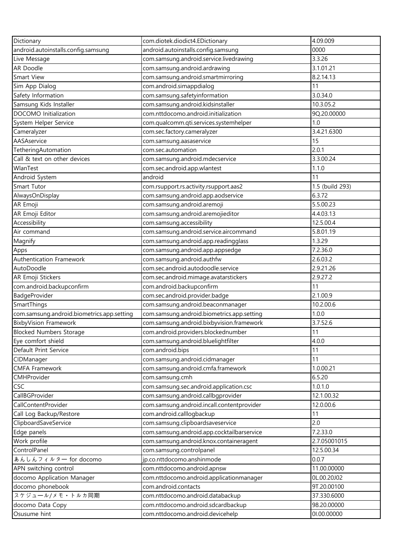| Dictionary                                 | com.diotek.diodict4.EDictionary            | 4.09.009        |
|--------------------------------------------|--------------------------------------------|-----------------|
| android.autoinstalls.config.samsung        | android.autoinstalls.config.samsung        | 0000            |
| Live Message                               | com.samsung.android.service.livedrawing    | 3.3.26          |
| AR Doodle                                  | com.samsung.android.ardrawing              | 3.1.01.21       |
| <b>Smart View</b>                          | com.samsung.android.smartmirroring         | 8.2.14.13       |
| Sim App Dialog                             | com.android.simappdialog                   | 11              |
| Safety Information                         | com.samsung.safetyinformation              | 3.0.34.0        |
| Samsung Kids Installer                     | com.samsung.android.kidsinstaller          | 10.3.05.2       |
| DOCOMO Initialization                      | com.nttdocomo.android.initialization       | 9Q.20.00000     |
| System Helper Service                      | com.qualcomm.qti.services.systemhelper     | 1.0             |
| Cameralyzer                                | com.sec.factory.cameralyzer                | 3.4.21.6300     |
| AASAservice                                | com.samsung.aasaservice                    | 15              |
| TetheringAutomation                        | com.sec.automation                         | 2.0.1           |
| Call & text on other devices               | com.samsung.android.mdecservice            | 3.3.00.24       |
| WlanTest                                   | com.sec.android.app.wlantest               | 1.1.0           |
| Android System                             | android                                    | 11              |
| Smart Tutor                                | com.rsupport.rs.activity.rsupport.aas2     | 1.5 (build 293) |
| AlwaysOnDisplay                            | com.samsung.android.app.aodservice         | 6.3.72          |
| AR Emoji                                   | com.samsung.android.aremoji                | 5.5.00.23       |
| AR Emoji Editor                            | com.samsung.android.aremojieditor          | 4.4.03.13       |
| Accessibility                              | com.samsung.accessibility                  | 12.5.00.4       |
| Air command                                | com.samsung.android.service.aircommand     | 5.8.01.19       |
| Magnify                                    | com.samsung.android.app.readingglass       | 1.3.29          |
| Apps                                       | com.samsung.android.app.appsedge           | 7.2.36.0        |
| Authentication Framework                   | com.samsung.android.authfw                 | 2.6.03.2        |
| AutoDoodle                                 | com.sec.android.autodoodle.service         | 2.9.21.26       |
| AR Emoji Stickers                          | com.sec.android.mimage.avatarstickers      | 2.9.27.2        |
| com.android.backupconfirm                  | com.android.backupconfirm                  | 11              |
| BadgeProvider                              | com.sec.android.provider.badge             | 2.1.00.9        |
| SmartThings                                | com.samsung.android.beaconmanager          | 10.2.00.6       |
| com.samsung.android.biometrics.app.setting | com.samsung.android.biometrics.app.setting | 1.0.0           |
| <b>BixbyVision Framework</b>               | com.samsung.android.bixbyvision.framework  | 3.7.52.6        |
| <b>Blocked Numbers Storage</b>             | com.android.providers.blockednumber        | 11              |
| Eye comfort shield                         | com.samsung.android.bluelightfilter        | 4.0.0           |
| Default Print Service                      | com.android.bips                           | 11              |
| CIDManager                                 | com.samsung.android.cidmanager             | 11              |
| <b>CMFA Framework</b>                      | com.samsung.android.cmfa.framework         | 1.0.00.21       |
| CMHProvider                                | com.samsung.cmh                            | 6.5.20          |
| <b>CSC</b>                                 | com.samsung.sec.android.application.csc    | 1.0.1.0         |
| CallBGProvider                             | com.samsung.android.callbgprovider         | 12.1.00.32      |
| CallContentProvider                        | com.samsung.android.incall.contentprovider | 12.0.00.6       |
| Call Log Backup/Restore                    | com.android.calllogbackup                  | 11              |
| ClipboardSaveService                       | com.samsung.clipboardsaveservice           | 2.0             |
| Edge panels                                | com.samsung.android.app.cocktailbarservice | 7.2.33.0        |
| Work profile                               | com.samsung.android.knox.containeragent    | 2.7.05001015    |
| ControlPanel                               | com.samsung.controlpanel                   | 12.5.00.34      |
| あんしんフィルター for docomo                       | jp.co.nttdocomo.anshinmode                 | 0.0.7           |
| APN switching control                      | com.nttdocomo.android.apnsw                | 11.00.00000     |
| docomo Application Manager                 | com.nttdocomo.android.applicationmanager   | 0L.00.20J02     |
| docomo phonebook                           | com.android.contacts                       | 9T.20.00100     |
| スケジュール/メモ・トルカ同期                            | com.nttdocomo.android.databackup           | 37.330.6000     |
| docomo Data Copy                           | com.nttdocomo.android.sdcardbackup         | 98.20.00000     |
| Osusume hint                               | com.nttdocomo.android.devicehelp           | 01.00.00000     |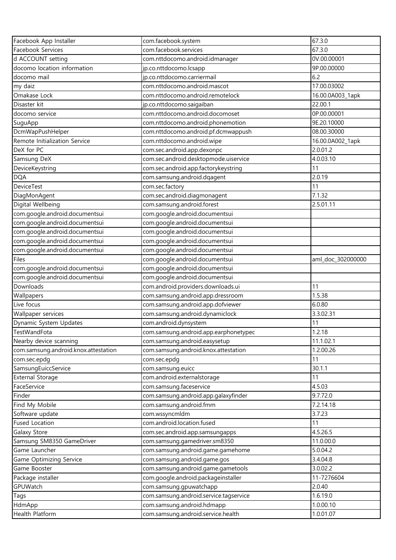| Facebook App Installer               | com.facebook.system                    | 67.3.0            |
|--------------------------------------|----------------------------------------|-------------------|
| Facebook Services                    | com.facebook.services                  | 67.3.0            |
| d ACCOUNT setting                    | com.nttdocomo.android.idmanager        | 0V.00.00001       |
| docomo location information          | jp.co.nttdocomo.lcsapp                 | 9P.00.00000       |
| docomo mail                          | jp.co.nttdocomo.carriermail            | 6.2               |
| my daiz                              | com.nttdocomo.android.mascot           | 17.00.03002       |
| Omakase Lock                         | com.nttdocomo.android.remotelock       | 16.00.0A003_1apk  |
| Disaster kit                         | jp.co.nttdocomo.saigaiban              | 22.00.1           |
| docomo service                       | com.nttdocomo.android.docomoset        | 0P.00.00001       |
| SuguApp                              | com.nttdocomo.android.phonemotion      | 9E.20.10000       |
| DcmWapPushHelper                     | com.nttdocomo.android.pf.dcmwappush    | 08.00.30000       |
| Remote Initialization Service        | com.nttdocomo.android.wipe             | 16.00.0A002_1apk  |
| DeX for PC                           | com.sec.android.app.dexonpc            | 2.0.01.2          |
| Samsung DeX                          | com.sec.android.desktopmode.uiservice  | 4.0.03.10         |
| DeviceKeystring                      | com.sec.android.app.factorykeystring   | 11                |
| <b>DQA</b>                           | com.samsung.android.dqagent            | 2.0.19            |
| <b>DeviceTest</b>                    | com.sec.factory                        | 11                |
| DiagMonAgent                         | com.sec.android.diagmonagent           | 7.1.32            |
| Digital Wellbeing                    | com.samsung.android.forest             | 2.5.01.11         |
| com.google.android.documentsui       | com.google.android.documentsui         |                   |
| com.google.android.documentsui       | com.google.android.documentsui         |                   |
| com.google.android.documentsui       | com.google.android.documentsui         |                   |
| com.google.android.documentsui       | com.google.android.documentsui         |                   |
| com.google.android.documentsui       | com.google.android.documentsui         |                   |
| Files                                | com.google.android.documentsui         | aml_doc_302000000 |
| com.google.android.documentsui       | com.google.android.documentsui         |                   |
| com.google.android.documentsui       | com.google.android.documentsui         |                   |
| Downloads                            | com.android.providers.downloads.ui     | 11                |
| Wallpapers                           | com.samsung.android.app.dressroom      | 1.5.38            |
| Live focus                           | com.samsung.android.app.dofviewer      | 6.0.80            |
| Wallpaper services                   | com.samsung.android.dynamiclock        | 3.3.02.31         |
| Dynamic System Updates               | com.android.dynsystem                  | 11                |
| TestWandFota                         | com.samsung.android.app.earphonetypec  | 1.2.18            |
| Nearby device scanning               | com.samsung.android.easysetup          | 11.1.02.1         |
| com.samsung.android.knox.attestation | com.samsung.android.knox.attestation   | 1.2.00.26         |
| com.sec.epdg                         | com.sec.epdg                           | 11                |
| SamsungEuiccService                  | com.samsung.euicc                      | 30.1.1            |
| <b>External Storage</b>              | com.android.externalstorage            | 11                |
| FaceService                          | com.samsung.faceservice                | 4.5.03            |
| Finder                               | com.samsung.android.app.galaxyfinder   | 9.7.72.0          |
| Find My Mobile                       | com.samsung.android.fmm                | 7.2.14.18         |
| Software update                      | com.wssyncmldm                         | 3.7.23            |
| <b>Fused Location</b>                | com.android.location.fused             | 11                |
| Galaxy Store                         | com.sec.android.app.samsungapps        | 4.5.26.5          |
| Samsung SM8350 GameDriver            | com.samsung.gamedriver.sm8350          | 11.0.00.0         |
| Game Launcher                        | com.samsung.android.game.gamehome      | 5.0.04.2          |
| Game Optimizing Service              | com.samsung.android.game.gos           | 3.4.04.8          |
| Game Booster                         | com.samsung.android.game.gametools     | 3.0.02.2          |
| Package installer                    | com.google.android.packageinstaller    | 11-7276604        |
| GPUWatch                             | com.samsung.gpuwatchapp                | 2.0.40            |
| Tags                                 | com.samsung.android.service.tagservice | 1.6.19.0          |
| HdmApp                               | com.samsung.android.hdmapp             | 1.0.00.10         |
|                                      |                                        | 1.0.01.07         |
| Health Platform                      | com.samsung.android.service.health     |                   |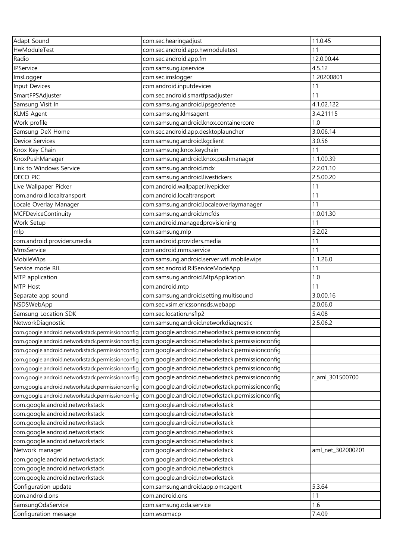| Adapt Sound                                      | com.sec.hearingadjust                                                                             | 11.0.45           |
|--------------------------------------------------|---------------------------------------------------------------------------------------------------|-------------------|
| HwModuleTest                                     | com.sec.android.app.hwmoduletest                                                                  | 11                |
| Radio                                            | com.sec.android.app.fm                                                                            | 12.0.00.44        |
| IPService                                        | com.samsung.ipservice                                                                             | 4.5.12            |
| ImsLogger                                        | com.sec.imslogger                                                                                 | 1.20200801        |
| Input Devices                                    | com.android.inputdevices                                                                          | 11                |
| SmartFPSAdjuster                                 | com.sec.android.smartfpsadjuster                                                                  | 11                |
| Samsung Visit In                                 | com.samsung.android.ipsgeofence                                                                   | 4.1.02.122        |
| <b>KLMS Agent</b>                                | com.samsung.klmsagent                                                                             | 3.4.21115         |
| Work profile                                     | com.samsung.android.knox.containercore                                                            | 1.0               |
| Samsung DeX Home                                 | com.sec.android.app.desktoplauncher                                                               | 3.0.06.14         |
| Device Services                                  | com.samsung.android.kgclient                                                                      | 3.0.56            |
| Knox Key Chain                                   | com.samsung.knox.keychain                                                                         | 11                |
| KnoxPushManager                                  | com.samsung.android.knox.pushmanager                                                              | 1.1.00.39         |
| Link to Windows Service                          | com.samsung.android.mdx                                                                           | 2.2.01.10         |
| <b>DECO PIC</b>                                  | com.samsung.android.livestickers                                                                  | 2.5.00.20         |
| Live Wallpaper Picker                            | com.android.wallpaper.livepicker                                                                  | 11                |
| com.android.localtransport                       | com.android.localtransport                                                                        | 11                |
| Locale Overlay Manager                           | com.samsung.android.localeoverlaymanager                                                          | 11                |
| <b>MCFDeviceContinuity</b>                       | com.samsung.android.mcfds                                                                         | 1.0.01.30         |
| Work Setup                                       | com.android.managedprovisioning                                                                   | 11                |
| mlp                                              | com.samsung.mlp                                                                                   | 5.2.02            |
| com.android.providers.media                      | com.android.providers.media                                                                       | 11                |
| MmsService                                       | com.android.mms.service                                                                           | 11                |
| MobileWips                                       | com.samsung.android.server.wifi.mobilewips                                                        | 1.1.26.0          |
| Service mode RIL                                 | com.sec.android.RilServiceModeApp                                                                 | 11                |
| MTP application                                  | com.samsung.android.MtpApplication                                                                | 1.0               |
| MTP Host                                         | com.android.mtp                                                                                   | 11                |
| Separate app sound                               | com.samsung.android.setting.multisound                                                            | 3.0.00.16         |
| NSDSWebApp                                       | com.sec.vsim.ericssonnsds.webapp                                                                  | 2.0.06.0          |
| Samsung Location SDK                             | com.sec.location.nsflp2                                                                           | 5.4.08            |
| NetworkDiagnostic                                | com.samsung.android.networkdiagnostic                                                             | 2.5.06.2          |
|                                                  | com.google.android.networkstack.permissionconfig com.google.android.networkstack.permissionconfig |                   |
| com.google.android.networkstack.permissionconfig | com.google.android.networkstack.permissionconfig                                                  |                   |
| com.google.android.networkstack.permissionconfig | com.google.android.networkstack.permissionconfig                                                  |                   |
| com.google.android.networkstack.permissionconfig | com.google.android.networkstack.permissionconfig                                                  |                   |
| com.google.android.networkstack.permissionconfig | com.google.android.networkstack.permissionconfig                                                  |                   |
| com.google.android.networkstack.permissionconfig | com.google.android.networkstack.permissionconfig                                                  | r_aml_301500700   |
| com.google.android.networkstack.permissionconfig | com.google.android.networkstack.permissionconfiq                                                  |                   |
| com.google.android.networkstack.permissionconfig | com.google.android.networkstack.permissionconfiq                                                  |                   |
| com.google.android.networkstack                  | com.google.android.networkstack                                                                   |                   |
| com.google.android.networkstack                  | com.google.android.networkstack                                                                   |                   |
| com.google.android.networkstack                  | com.google.android.networkstack                                                                   |                   |
| com.google.android.networkstack                  | com.google.android.networkstack                                                                   |                   |
| com.google.android.networkstack                  | com.google.android.networkstack                                                                   |                   |
| Network manager                                  | com.google.android.networkstack                                                                   | aml_net_302000201 |
| com.google.android.networkstack                  | com.google.android.networkstack                                                                   |                   |
| com.google.android.networkstack                  | com.google.android.networkstack                                                                   |                   |
| com.google.android.networkstack                  | com.google.android.networkstack                                                                   |                   |
| Configuration update                             | com.samsung.android.app.omcagent                                                                  | 5.3.64            |
| com.android.ons                                  | com.android.ons                                                                                   | 11                |
| SamsungOdaService                                | com.samsung.oda.service                                                                           | 1.6               |
| Configuration message                            | com.wsomacp                                                                                       | 7.4.09            |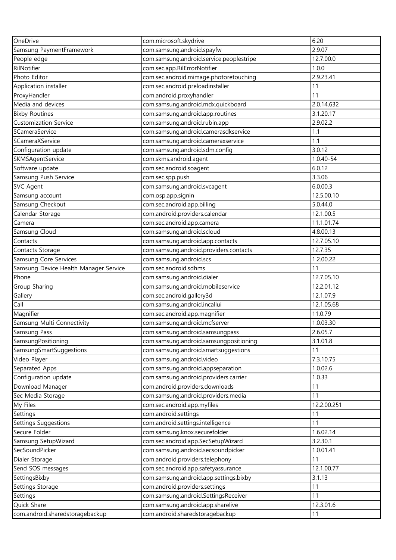| OneDrive                              | com.microsoft.skydrive                   | 6.20        |
|---------------------------------------|------------------------------------------|-------------|
| Samsung PaymentFramework              | com.samsung.android.spayfw               | 2.9.07      |
| People edge                           | com.samsung.android.service.peoplestripe | 12.7.00.0   |
| RilNotifier                           | com.sec.app.RilErrorNotifier             | 1.0.0       |
| Photo Editor                          | com.sec.android.mimage.photoretouching   | 2.9.23.41   |
| Application installer                 | com.sec.android.preloadinstaller         | 11          |
| ProxyHandler                          | com.android.proxyhandler                 | 11          |
| Media and devices                     | com.samsung.android.mdx.quickboard       | 2.0.14.632  |
| <b>Bixby Routines</b>                 | com.samsung.android.app.routines         | 3.1.20.17   |
| <b>Customization Service</b>          | com.samsung.android.rubin.app            | 2.9.02.2    |
| SCameraService                        | com.samsung.android.camerasdkservice     | 1.1         |
| SCameraXService                       | com.samsung.android.cameraxservice       | 1.1         |
| Configuration update                  | com.samsung.android.sdm.config           | 3.0.12      |
| SKMSAgentService                      | com.skms.android.agent                   | 1.0.40-54   |
| Software update                       | com.sec.android.soagent                  | 6.0.12      |
| Samsung Push Service                  | com.sec.spp.push                         | 3.3.06      |
| <b>SVC Agent</b>                      | com.samsung.android.svcagent             | 6.0.00.3    |
| Samsung account                       | com.osp.app.signin                       | 12.5.00.10  |
| Samsung Checkout                      | com.sec.android.app.billing              | 5.0.44.0    |
| Calendar Storage                      | com.android.providers.calendar           | 12.1.00.5   |
| Camera                                | com.sec.android.app.camera               | 11.1.01.74  |
| Samsung Cloud                         | com.samsung.android.scloud               | 4.8.00.13   |
| Contacts                              | com.samsung.android.app.contacts         | 12.7.05.10  |
|                                       |                                          | 12.7.35     |
| Contacts Storage                      | com.samsung.android.providers.contacts   |             |
| Samsung Core Services                 | com.samsung.android.scs                  | 1.2.00.22   |
| Samsung Device Health Manager Service | com.sec.android.sdhms                    | 11          |
| Phone                                 | com.samsung.android.dialer               | 12.7.05.10  |
| Group Sharing                         | com.samsung.android.mobileservice        | 12.2.01.12  |
| Gallery                               | com.sec.android.gallery3d                | 12.1.07.9   |
| Call                                  | com.samsung.android.incallui             | 12.1.05.68  |
| Magnifier                             | com.sec.android.app.magnifier            | 11.0.79     |
| Samsung Multi Connectivity            | com.samsung.android.mcfserver            | 1.0.03.30   |
| Samsung Pass                          | com.samsung.android.samsungpass          | 2.6.05.7    |
| SamsungPositioning                    | com.samsung.android.samsungpositioning   | 3.1.01.8    |
| SamsungSmartSuggestions               | com.samsung.android.smartsuggestions     | 11          |
| Video Player                          | com.samsung.android.video                | 7.3.10.75   |
| Separated Apps                        | com.samsung.android.appseparation        | 1.0.02.6    |
| Configuration update                  | com.samsung.android.providers.carrier    | 1.0.33      |
| Download Manager                      | com.android.providers.downloads          | 11          |
| Sec Media Storage                     | com.samsung.android.providers.media      | 11          |
| My Files                              | com.sec.android.app.myfiles              | 12.2.00.251 |
| Settings                              | com.android.settings                     | 11          |
| Settings Suggestions                  | com.android.settings.intelligence        | 11          |
| Secure Folder                         | com.samsung.knox.securefolder            | 1.6.02.14   |
| Samsung SetupWizard                   | com.sec.android.app.SecSetupWizard       | 3.2.30.1    |
| SecSoundPicker                        | com.samsung.android.secsoundpicker       | 1.0.01.41   |
| Dialer Storage                        | com.android.providers.telephony          | 11          |
| Send SOS messages                     | com.sec.android.app.safetyassurance      | 12.1.00.77  |
| SettingsBixby                         | com.samsung.android.app.settings.bixby   | 3.1.13      |
| Settings Storage                      | com.android.providers.settings           | 11          |
| Settings                              | com.samsung.android.SettingsReceiver     | 11          |
| Quick Share                           | com.samsung.android.app.sharelive        | 12.3.01.6   |
| com.android.sharedstoragebackup       | com.android.sharedstoragebackup          | 11          |